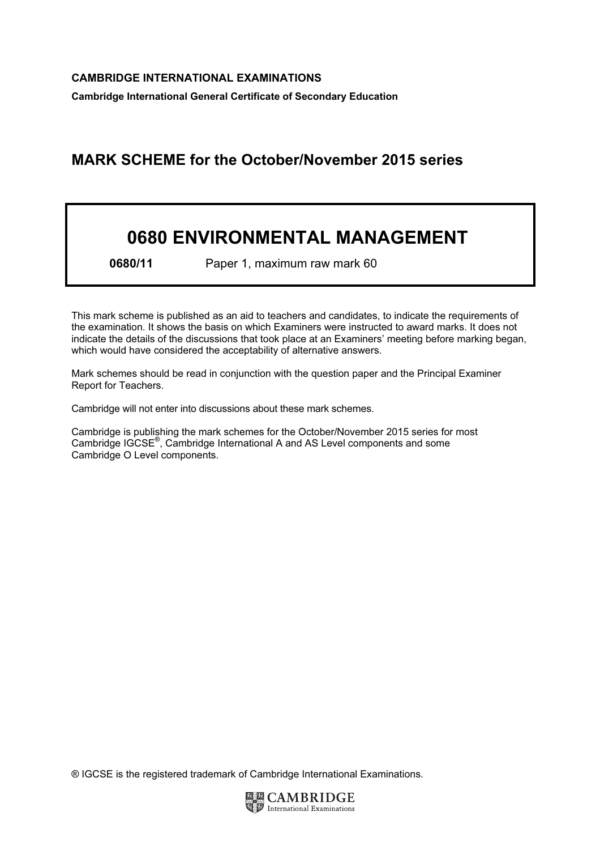## MARK SCHEME for the October/November 2015 series

## 0680 ENVIRONMENTAL MANAGEMENT

0680/11 Paper 1, maximum raw mark 60

This mark scheme is published as an aid to teachers and candidates, to indicate the requirements of the examination. It shows the basis on which Examiners were instructed to award marks. It does not indicate the details of the discussions that took place at an Examiners' meeting before marking began, which would have considered the acceptability of alternative answers.

Mark schemes should be read in conjunction with the question paper and the Principal Examiner Report for Teachers.

Cambridge will not enter into discussions about these mark schemes.

Cambridge is publishing the mark schemes for the October/November 2015 series for most Cambridge IGCSE*®* , Cambridge International A and AS Level components and some Cambridge O Level components.

® IGCSE is the registered trademark of Cambridge International Examinations.

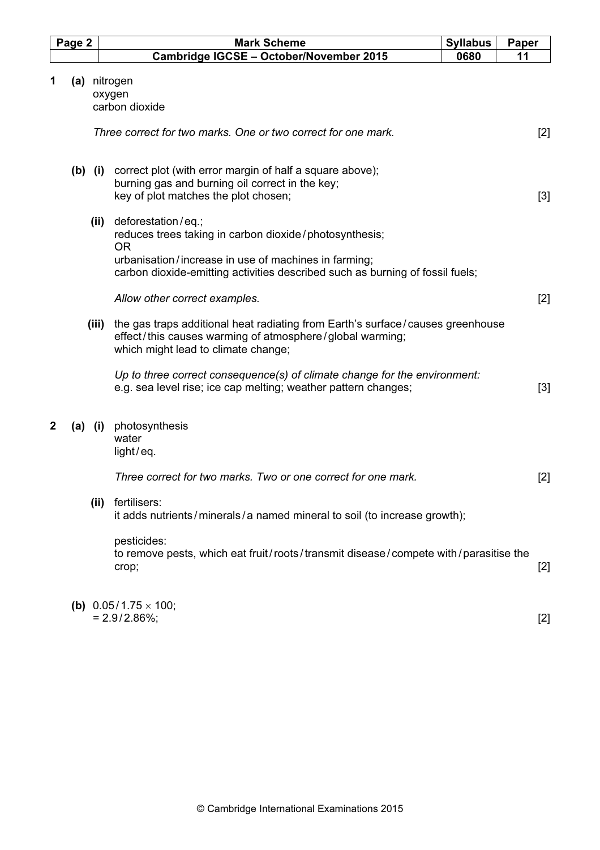|   | Page 2      |       | <b>Mark Scheme</b><br><b>Syllabus</b>                                                                                                                                                                                                                                                                                                                             | Paper        |
|---|-------------|-------|-------------------------------------------------------------------------------------------------------------------------------------------------------------------------------------------------------------------------------------------------------------------------------------------------------------------------------------------------------------------|--------------|
|   |             |       | Cambridge IGCSE - October/November 2015<br>0680                                                                                                                                                                                                                                                                                                                   | 11           |
| 1 |             |       | (a) nitrogen<br>oxygen<br>carbon dioxide<br>Three correct for two marks. One or two correct for one mark.                                                                                                                                                                                                                                                         | $[2]$        |
|   | $(b)$ $(i)$ | (ii)  | correct plot (with error margin of half a square above);<br>burning gas and burning oil correct in the key;<br>key of plot matches the plot chosen;<br>deforestation/eq.;                                                                                                                                                                                         | $[3]$        |
|   |             |       | reduces trees taking in carbon dioxide/photosynthesis;<br><b>OR</b><br>urbanisation/increase in use of machines in farming;<br>carbon dioxide-emitting activities described such as burning of fossil fuels;                                                                                                                                                      |              |
|   |             | (iii) | Allow other correct examples.<br>the gas traps additional heat radiating from Earth's surface/causes greenhouse<br>effect/this causes warming of atmosphere/global warming;<br>which might lead to climate change;<br>Up to three correct consequence(s) of climate change for the environment:<br>e.g. sea level rise; ice cap melting; weather pattern changes; | $[2]$<br>[3] |
| 2 | $(a)$ (i)   |       | photosynthesis<br>water<br>light/eq.<br>Three correct for two marks. Two or one correct for one mark.                                                                                                                                                                                                                                                             | $[2]$        |
|   |             | (iii) | fertilisers:<br>it adds nutrients/minerals/a named mineral to soil (to increase growth);<br>pesticides:<br>to remove pests, which eat fruit/roots/transmit disease/compete with/parasitise the<br>crop;                                                                                                                                                           | $[2]$        |
|   |             |       | (b) $0.05/1.75 \times 100$ ;<br>$= 2.9/2.86\%;$                                                                                                                                                                                                                                                                                                                   | $[2]$        |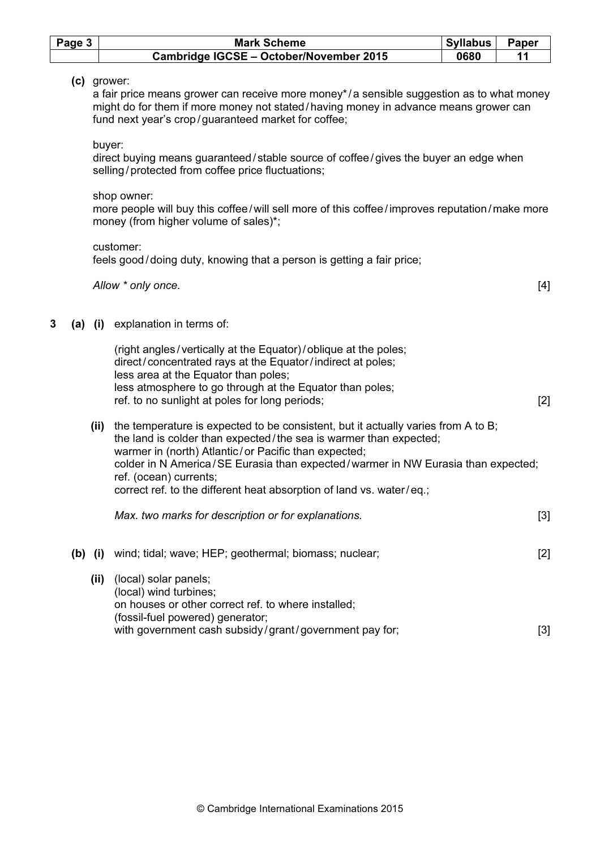|   | Page 3    |        | <b>Mark Scheme</b>                                                                                                                                                                                                                                                                                                                                                                                   | <b>Syllabus</b> | Paper |
|---|-----------|--------|------------------------------------------------------------------------------------------------------------------------------------------------------------------------------------------------------------------------------------------------------------------------------------------------------------------------------------------------------------------------------------------------------|-----------------|-------|
|   |           |        | Cambridge IGCSE - October/November 2015                                                                                                                                                                                                                                                                                                                                                              | 0680            | 11    |
|   |           |        | (c) grower:<br>a fair price means grower can receive more money*/a sensible suggestion as to what money<br>might do for them if more money not stated/having money in advance means grower can<br>fund next year's crop/guaranteed market for coffee;                                                                                                                                                |                 |       |
|   |           | buyer: | direct buying means guaranteed/stable source of coffee/gives the buyer an edge when<br>selling/protected from coffee price fluctuations;                                                                                                                                                                                                                                                             |                 |       |
|   |           |        | shop owner:<br>more people will buy this coffee/will sell more of this coffee/improves reputation/make more<br>money (from higher volume of sales)*;                                                                                                                                                                                                                                                 |                 |       |
|   |           |        | customer:<br>feels good/doing duty, knowing that a person is getting a fair price;                                                                                                                                                                                                                                                                                                                   |                 |       |
|   |           |        | Allow * only once.                                                                                                                                                                                                                                                                                                                                                                                   |                 | $[4]$ |
| 3 |           |        | (a) (i) explanation in terms of:                                                                                                                                                                                                                                                                                                                                                                     |                 |       |
|   |           |        | (right angles/vertically at the Equator)/oblique at the poles;<br>direct/concentrated rays at the Equator/indirect at poles;<br>less area at the Equator than poles;<br>less atmosphere to go through at the Equator than poles;<br>ref. to no sunlight at poles for long periods;                                                                                                                   |                 | $[2]$ |
|   |           | (iii)  | the temperature is expected to be consistent, but it actually varies from A to B;<br>the land is colder than expected/the sea is warmer than expected;<br>warmer in (north) Atlantic/or Pacific than expected;<br>colder in N America/SE Eurasia than expected/warmer in NW Eurasia than expected;<br>ref. (ocean) currents;<br>correct ref. to the different heat absorption of land vs. water/eq.; |                 |       |
|   |           |        | Max. two marks for description or for explanations.                                                                                                                                                                                                                                                                                                                                                  |                 | $[3]$ |
|   | $(b)$ (i) |        | wind; tidal; wave; HEP; geothermal; biomass; nuclear;                                                                                                                                                                                                                                                                                                                                                |                 | $[2]$ |
|   |           | (iii)  | (local) solar panels;<br>(local) wind turbines;<br>on houses or other correct ref. to where installed;<br>(fossil-fuel powered) generator;<br>with government cash subsidy/grant/government pay for;                                                                                                                                                                                                 |                 | $[3]$ |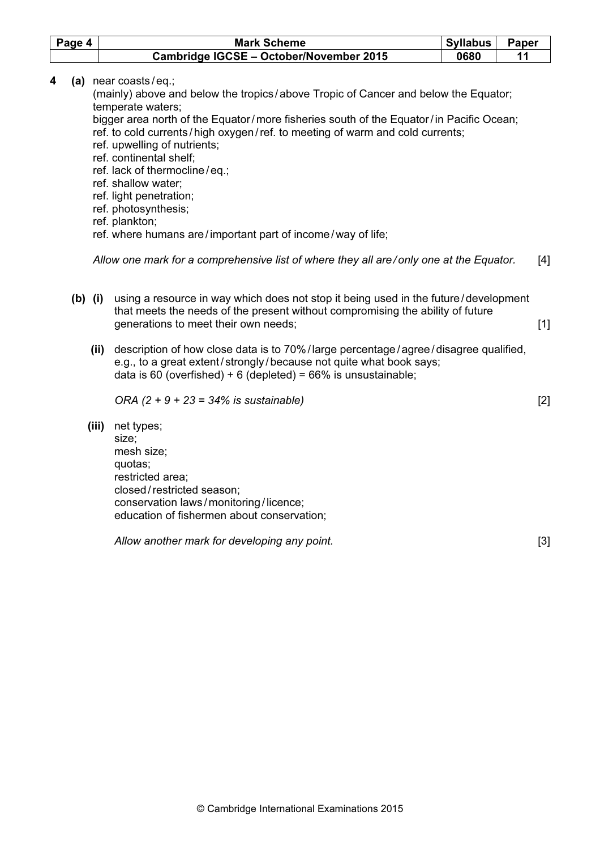|   | Page 4    |       | <b>Mark Scheme</b>                                                                                                                                                                                                                                                                                                                                                                                                                                                                                                                                           | <b>Syllabus</b> | Paper |       |
|---|-----------|-------|--------------------------------------------------------------------------------------------------------------------------------------------------------------------------------------------------------------------------------------------------------------------------------------------------------------------------------------------------------------------------------------------------------------------------------------------------------------------------------------------------------------------------------------------------------------|-----------------|-------|-------|
|   |           |       | Cambridge IGCSE - October/November 2015                                                                                                                                                                                                                                                                                                                                                                                                                                                                                                                      | 0680            | 11    |       |
| 4 | (a)       |       | near coasts/eq.;<br>(mainly) above and below the tropics/above Tropic of Cancer and below the Equator;<br>temperate waters;<br>bigger area north of the Equator/more fisheries south of the Equator/in Pacific Ocean;<br>ref. to cold currents/high oxygen/ref. to meeting of warm and cold currents;<br>ref. upwelling of nutrients;<br>ref. continental shelf;<br>ref. lack of thermocline/eq.;<br>ref. shallow water;<br>ref. light penetration;<br>ref. photosynthesis;<br>ref. plankton;<br>ref. where humans are/important part of income/way of life; |                 |       |       |
|   |           |       | Allow one mark for a comprehensive list of where they all are/only one at the Equator.                                                                                                                                                                                                                                                                                                                                                                                                                                                                       |                 |       | $[4]$ |
|   | $(b)$ (i) |       | using a resource in way which does not stop it being used in the future/development<br>that meets the needs of the present without compromising the ability of future<br>generations to meet their own needs;<br>(ii) description of how close data is to 70%/large percentage/agree/disagree qualified,<br>e.g., to a great extent/strongly/because not quite what book says;<br>data is 60 (overfished) + 6 (depleted) = $66\%$ is unsustainable;                                                                                                          |                 |       | $[1]$ |
|   |           | (iii) | ORA $(2 + 9 + 23 = 34\%$ is sustainable)<br>net types;<br>size;<br>mesh size;<br>quotas;<br>restricted area;<br>closed/restricted season;<br>conservation laws/monitoring/licence;<br>education of fishermen about conservation;                                                                                                                                                                                                                                                                                                                             |                 |       | $[2]$ |
|   |           |       | Allow another mark for developing any point.                                                                                                                                                                                                                                                                                                                                                                                                                                                                                                                 |                 |       | $[3]$ |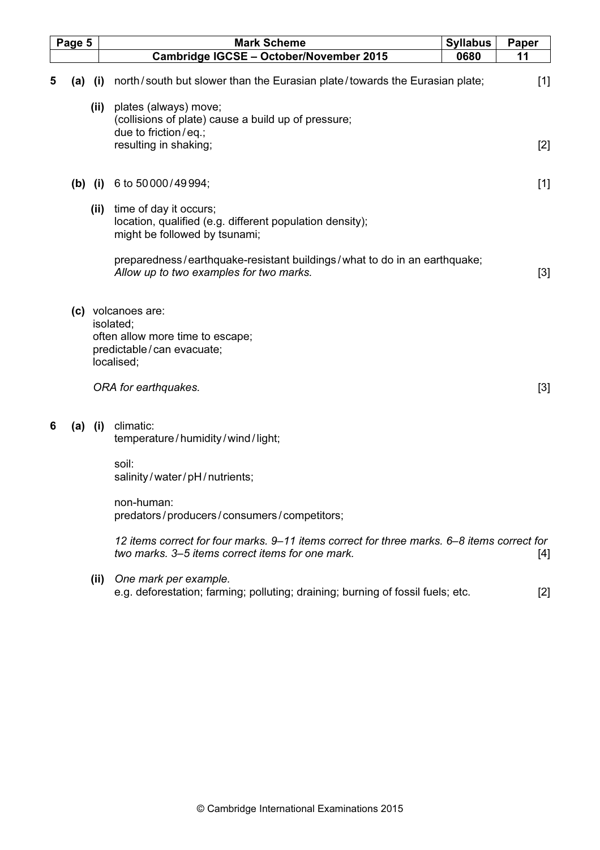|   | Page 5    |      | <b>Mark Scheme</b>                                                                                                                             | <b>Syllabus</b> | Paper |
|---|-----------|------|------------------------------------------------------------------------------------------------------------------------------------------------|-----------------|-------|
|   |           |      | Cambridge IGCSE - October/November 2015                                                                                                        | 0680            | 11    |
| 5 | (a)       | (i)  | north/south but slower than the Eurasian plate/towards the Eurasian plate;                                                                     |                 | $[1]$ |
|   |           | (ii) | plates (always) move;<br>(collisions of plate) cause a build up of pressure;<br>due to friction/eq.;                                           |                 |       |
|   |           |      | resulting in shaking;                                                                                                                          |                 | $[2]$ |
|   | $(b)$ (i) |      | 6 to 50 000/49 994;                                                                                                                            |                 | $[1]$ |
|   |           | (ii) | time of day it occurs;<br>location, qualified (e.g. different population density);<br>might be followed by tsunami;                            |                 |       |
|   |           |      | preparedness/earthquake-resistant buildings/what to do in an earthquake;<br>Allow up to two examples for two marks.                            |                 | $[3]$ |
|   |           |      | (c) volcanoes are:<br>isolated;<br>often allow more time to escape;<br>predictable/can evacuate;<br>localised;                                 |                 |       |
|   |           |      | ORA for earthquakes.                                                                                                                           |                 | $[3]$ |
| 6 | (a)       | (i)  | climatic:<br>temperature/humidity/wind/light;                                                                                                  |                 |       |
|   |           |      | soil:<br>salinity/water/pH/nutrients;                                                                                                          |                 |       |
|   |           |      | non-human:<br>predators/producers/consumers/competitors;                                                                                       |                 |       |
|   |           |      | 12 items correct for four marks. 9–11 items correct for three marks. 6–8 items correct for<br>two marks. 3–5 items correct items for one mark. |                 | $[4]$ |
|   |           | (ii) | One mark per example.<br>e.g. deforestation; farming; polluting; draining; burning of fossil fuels; etc.                                       |                 | $[2]$ |